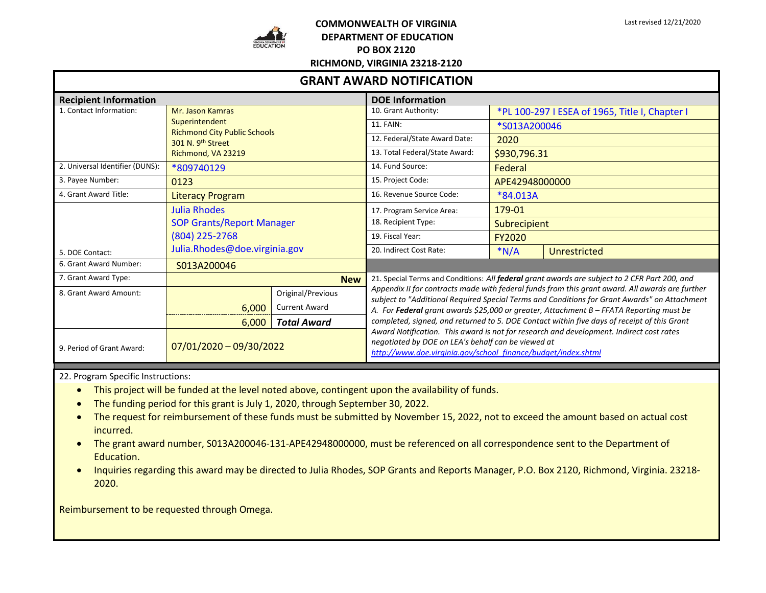

## **COMMONWEALTH OF VIRGINIA DEPARTMENT OF EDUCATION PO BOX 2120**

| <b>GRANT AWARD NOTIFICATION</b> |                                                                                                                      |                      |                                                                                                                                                                                                                                                                                            |                                                |              |  |  |
|---------------------------------|----------------------------------------------------------------------------------------------------------------------|----------------------|--------------------------------------------------------------------------------------------------------------------------------------------------------------------------------------------------------------------------------------------------------------------------------------------|------------------------------------------------|--------------|--|--|
| <b>Recipient Information</b>    |                                                                                                                      |                      | <b>DOE Information</b>                                                                                                                                                                                                                                                                     |                                                |              |  |  |
| 1. Contact Information:         | Mr. Jason Kamras<br>Superintendent<br><b>Richmond City Public Schools</b><br>301 N. 9th Street<br>Richmond, VA 23219 |                      | 10. Grant Authority:                                                                                                                                                                                                                                                                       | *PL 100-297 I ESEA of 1965, Title I, Chapter I |              |  |  |
|                                 |                                                                                                                      |                      | 11. FAIN:                                                                                                                                                                                                                                                                                  | *S013A200046                                   |              |  |  |
|                                 |                                                                                                                      |                      | 12. Federal/State Award Date:                                                                                                                                                                                                                                                              | 2020                                           |              |  |  |
|                                 |                                                                                                                      |                      | 13. Total Federal/State Award:                                                                                                                                                                                                                                                             | \$930,796.31                                   |              |  |  |
| 2. Universal Identifier (DUNS): | *809740129                                                                                                           |                      | 14. Fund Source:                                                                                                                                                                                                                                                                           | Federal                                        |              |  |  |
| 3. Payee Number:                | 0123                                                                                                                 |                      | 15. Project Code:                                                                                                                                                                                                                                                                          | APE42948000000                                 |              |  |  |
| 4. Grant Award Title:           | <b>Literacy Program</b>                                                                                              |                      | 16. Revenue Source Code:                                                                                                                                                                                                                                                                   | *84.013A                                       |              |  |  |
|                                 | <b>Julia Rhodes</b><br><b>SOP Grants/Report Manager</b><br>(804) 225-2768                                            |                      | 17. Program Service Area:                                                                                                                                                                                                                                                                  | 179-01                                         |              |  |  |
|                                 |                                                                                                                      |                      | 18. Recipient Type:                                                                                                                                                                                                                                                                        | <b>Subrecipient</b>                            |              |  |  |
|                                 |                                                                                                                      |                      | 19. Fiscal Year:                                                                                                                                                                                                                                                                           | <b>FY2020</b>                                  |              |  |  |
| 5. DOE Contact:                 | Julia.Rhodes@doe.virginia.gov                                                                                        |                      | 20. Indirect Cost Rate:                                                                                                                                                                                                                                                                    | $*N/A$                                         | Unrestricted |  |  |
| 6. Grant Award Number:          | S013A200046                                                                                                          |                      |                                                                                                                                                                                                                                                                                            |                                                |              |  |  |
| 7. Grant Award Type:            |                                                                                                                      | <b>New</b>           | 21. Special Terms and Conditions: All federal grant awards are subject to 2 CFR Part 200, and                                                                                                                                                                                              |                                                |              |  |  |
| 8. Grant Award Amount:          |                                                                                                                      | Original/Previous    | Appendix II for contracts made with federal funds from this grant award. All awards are further<br>subject to "Additional Required Special Terms and Conditions for Grant Awards" on Attachment<br>A. For Federal grant awards \$25,000 or greater, Attachment B - FFATA Reporting must be |                                                |              |  |  |
|                                 | 6,000                                                                                                                | <b>Current Award</b> |                                                                                                                                                                                                                                                                                            |                                                |              |  |  |
|                                 | 6,000                                                                                                                | <b>Total Award</b>   | completed, signed, and returned to 5. DOE Contact within five days of receipt of this Grant                                                                                                                                                                                                |                                                |              |  |  |
| 9. Period of Grant Award:       | $07/01/2020 - 09/30/2022$                                                                                            |                      | Award Notification. This award is not for research and development. Indirect cost rates<br>negotiated by DOE on LEA's behalf can be viewed at<br>http://www.doe.virginia.gov/school_finance/budget/index.shtml                                                                             |                                                |              |  |  |

22. Program Specific Instructions:

- This project will be funded at the level noted above, contingent upon the availability of funds.
- The funding period for this grant is July 1, 2020, through September 30, 2022.
- The request for reimbursement of these funds must be submitted by November 15, 2022, not to exceed the amount based on actual cost incurred.
- The grant award number, S013A200046-131-APE42948000000, must be referenced on all correspondence sent to the Department of Education.
- Inquiries regarding this award may be directed to Julia Rhodes, SOP Grants and Reports Manager, P.O. Box 2120, Richmond, Virginia. 23218- 2020.

Reimbursement to be requested through Omega.